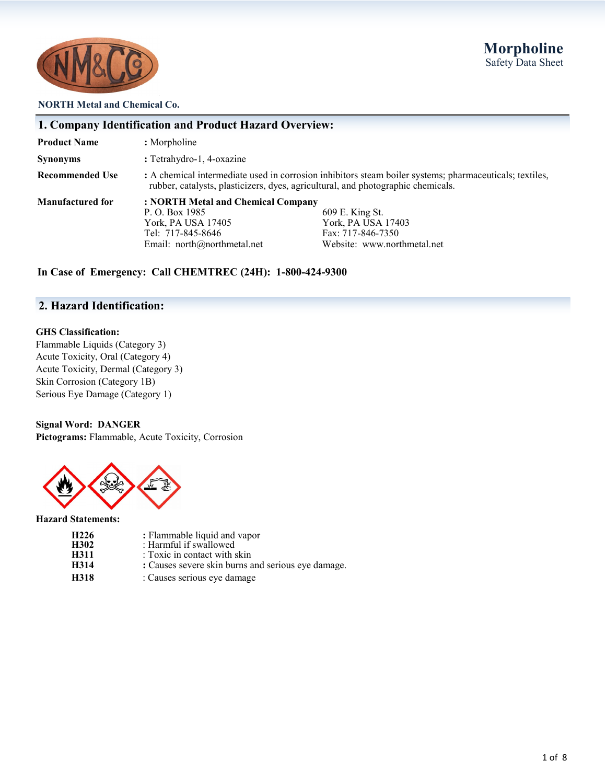



#### **NORTH Metal and Chemical Co.**

|                         | <b>1. Company Identification and Product Hazard Overview:</b>                                                                  |                                                                                                                                                                                             |
|-------------------------|--------------------------------------------------------------------------------------------------------------------------------|---------------------------------------------------------------------------------------------------------------------------------------------------------------------------------------------|
| <b>Product Name</b>     | : Morpholine                                                                                                                   |                                                                                                                                                                                             |
| <b>Synonyms</b>         | : Tetrahydro-1, 4-oxazine                                                                                                      |                                                                                                                                                                                             |
| <b>Recommended Use</b>  |                                                                                                                                | : A chemical intermediate used in corrosion inhibitors steam boiler systems; pharmaceuticals; textiles,<br>rubber, catalysts, plasticizers, dyes, agricultural, and photographic chemicals. |
| <b>Manufactured for</b> | : NORTH Metal and Chemical Company<br>P. O. Box 1985<br>York, PA USA 17405<br>Tel: 717-845-8646<br>Email: north@northmetal.net | 609 E. King St.<br>York, PA USA 17403<br>Fax: 717-846-7350<br>Website: www.northmetal.net                                                                                                   |

## **In Case of Emergency: Call CHEMTREC (24H): 1-800-424-9300**

## **2. Hazard Identification:**

#### **GHS Classification:**

Flammable Liquids (Category 3) Acute Toxicity, Oral (Category 4) Acute Toxicity, Dermal (Category 3) Skin Corrosion (Category 1B) Serious Eye Damage (Category 1)

**Signal Word: DANGER Pictograms:** Flammable, Acute Toxicity, Corrosion



**Hazard Statements:**

| H <sub>226</sub> | : Flammable liquid and vapor                       |
|------------------|----------------------------------------------------|
| H302             | : Harmful if swallowed                             |
| H311             | : Toxic in contact with skin                       |
| H314             | : Causes severe skin burns and serious eye damage. |
| H318             | : Causes serious eye damage                        |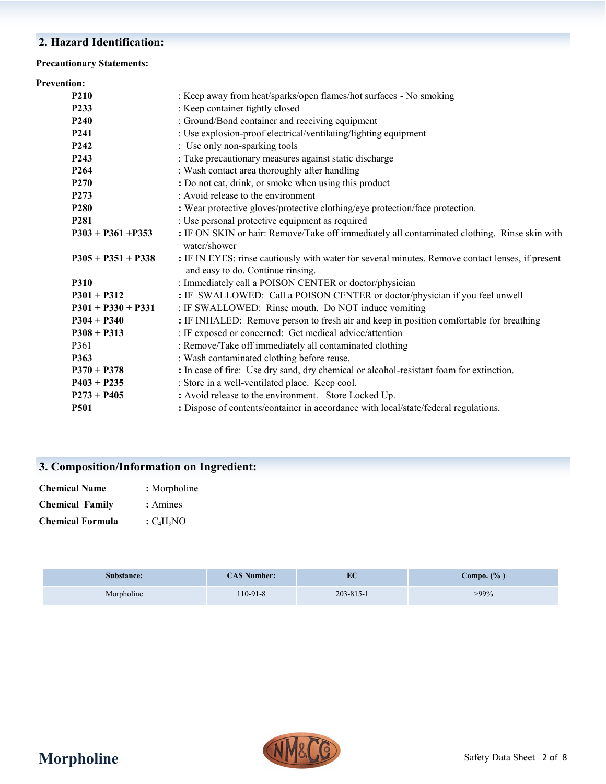## **2. Hazard Identification:**

## **Precautionary Statements:**

| <b>Prevention:</b>   |                                                                                                                                       |
|----------------------|---------------------------------------------------------------------------------------------------------------------------------------|
| <b>P210</b>          | : Keep away from heat/sparks/open flames/hot surfaces - No smoking                                                                    |
| P233                 | : Keep container tightly closed                                                                                                       |
| P <sub>240</sub>     | : Ground/Bond container and receiving equipment                                                                                       |
| P <sub>241</sub>     | : Use explosion-proof electrical/ventilating/lighting equipment                                                                       |
| P <sub>242</sub>     | : Use only non-sparking tools                                                                                                         |
| P <sub>243</sub>     | : Take precautionary measures against static discharge                                                                                |
| P <sub>264</sub>     | : Wash contact area thoroughly after handling                                                                                         |
| P <sub>270</sub>     | : Do not eat, drink, or smoke when using this product                                                                                 |
| P <sub>273</sub>     | : Avoid release to the environment                                                                                                    |
| P <sub>280</sub>     | : Wear protective gloves/protective clothing/eye protection/face protection.                                                          |
| P <sub>281</sub>     | : Use personal protective equipment as required                                                                                       |
| $P303 + P361 + P353$ | : IF ON SKIN or hair: Remove/Take off immediately all contaminated clothing. Rinse skin with<br>water/shower                          |
| $P305 + P351 + P338$ | : IF IN EYES: rinse cautiously with water for several minutes. Remove contact lenses, if present<br>and easy to do. Continue rinsing. |
| <b>P310</b>          | : Immediately call a POISON CENTER or doctor/physician                                                                                |
| $P301 + P312$        | : IF SWALLOWED: Call a POISON CENTER or doctor/physician if you feel unwell                                                           |
| $P301 + P330 + P331$ | : IF SWALLOWED: Rinse mouth. Do NOT induce vomiting                                                                                   |
| $P304 + P340$        | : IF INHALED: Remove person to fresh air and keep in position comfortable for breathing                                               |
| $P308 + P313$        | : IF exposed or concerned: Get medical advice/attention                                                                               |
| P361                 | : Remove/Take off immediately all contaminated clothing                                                                               |
| P363                 | : Wash contaminated clothing before reuse.                                                                                            |
| $P370 + P378$        | : In case of fire: Use dry sand, dry chemical or alcohol-resistant foam for extinction.                                               |
| $P403 + P235$        | : Store in a well-ventilated place. Keep cool.                                                                                        |
| $P273 + P405$        | : Avoid release to the environment. Store Locked Up.                                                                                  |
| P501                 | : Dispose of contents/container in accordance with local/state/federal regulations.                                                   |
|                      |                                                                                                                                       |

## **3. Composition/Information on Ingredient:**

| <b>Chemical Name</b>    | : Morpholine |
|-------------------------|--------------|
| <b>Chemical Family</b>  | : Amines     |
| <b>Chemical Formula</b> | : $C_4H_9NO$ |

| Substance: | <b>CAS Number:</b> | LU.       | Compo. $(\%)$ |
|------------|--------------------|-----------|---------------|
| Morpholine | $10-91-8$          | 203-815-1 | >99%          |

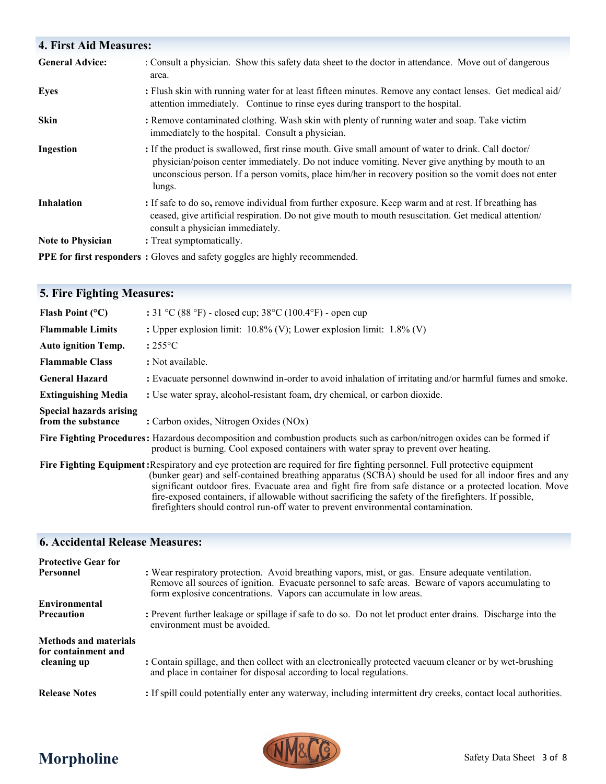## **4. First Aid Measures:**  General Advice: : Consult a physician. Show this safety data sheet to the doctor in attendance. Move out of dangerous area. **Eyes :** Flush skin with running water for at least fifteen minutes. Remove any contact lenses. Get medical aid/ attention immediately. Continue to rinse eyes during transport to the hospital. **Skin :** Remove contaminated clothing. Wash skin with plenty of running water and soap. Take victim immediately to the hospital. Consult a physician. **Ingestion :** If the product is swallowed, first rinse mouth. Give small amount of water to drink. Call doctor/ physician/poison center immediately. Do not induce vomiting. Never give anything by mouth to an unconscious person. If a person vomits, place him/her in recovery position so the vomit does not enter lungs. **Inhalation** : If safe to do so, remove individual from further exposure. Keep warm and at rest. If breathing has ceased, give artificial respiration. Do not give mouth to mouth resuscitation. Get medical attention/ consult a physician immediately. **Note to Physician :** Treat symptomatically. **PPE for first responders :** Gloves and safety goggles are highly recommended.

## **5. Fire Fighting Measures:**

| Flash Point $(°C)$                                   | : $31 \text{ °C} (88 \text{ °F})$ - closed cup; $38 \text{ °C} (100.4 \text{ °F})$ - open cup                                                                                                                                                                                                                                                                                                                                                                                                                                                     |
|------------------------------------------------------|---------------------------------------------------------------------------------------------------------------------------------------------------------------------------------------------------------------------------------------------------------------------------------------------------------------------------------------------------------------------------------------------------------------------------------------------------------------------------------------------------------------------------------------------------|
| <b>Flammable Limits</b>                              | : Upper explosion limit: 10.8% (V); Lower explosion limit: 1.8% (V)                                                                                                                                                                                                                                                                                                                                                                                                                                                                               |
| <b>Auto ignition Temp.</b>                           | $:255^{\circ}C$                                                                                                                                                                                                                                                                                                                                                                                                                                                                                                                                   |
| <b>Flammable Class</b>                               | : Not available.                                                                                                                                                                                                                                                                                                                                                                                                                                                                                                                                  |
| <b>General Hazard</b>                                | : Evacuate personnel downwind in-order to avoid inhalation of irritating and/or harmful fumes and smoke.                                                                                                                                                                                                                                                                                                                                                                                                                                          |
| <b>Extinguishing Media</b>                           | : Use water spray, alcohol-resistant foam, dry chemical, or carbon dioxide.                                                                                                                                                                                                                                                                                                                                                                                                                                                                       |
| <b>Special hazards arising</b><br>from the substance | : Carbon oxides, Nitrogen Oxides (NOx)                                                                                                                                                                                                                                                                                                                                                                                                                                                                                                            |
|                                                      | Fire Fighting Procedures: Hazardous decomposition and combustion products such as carbon/nitrogen oxides can be formed if<br>product is burning. Cool exposed containers with water spray to prevent over heating.                                                                                                                                                                                                                                                                                                                                |
|                                                      | Fire Fighting Equipment: Respiratory and eye protection are required for fire fighting personnel. Full protective equipment<br>(bunker gear) and self-contained breathing apparatus (SCBA) should be used for all indoor fires and any<br>significant outdoor fires. Evacuate area and fight fire from safe distance or a protected location. Move<br>fire-exposed containers, if allowable without sacrificing the safety of the firefighters. If possible,<br>firefighters should control run-off water to prevent environmental contamination. |

## **6. Accidental Release Measures:**

| <b>Protective Gear for</b><br><b>Personnel</b>                     | : Wear respiratory protection. Avoid breathing vapors, mist, or gas. Ensure adequate ventilation.<br>Remove all sources of ignition. Evacuate personnel to safe areas. Beware of vapors accumulating to<br>form explosive concentrations. Vapors can accumulate in low areas. |
|--------------------------------------------------------------------|-------------------------------------------------------------------------------------------------------------------------------------------------------------------------------------------------------------------------------------------------------------------------------|
| Environmental<br><b>Precaution</b>                                 | : Prevent further leakage or spillage if safe to do so. Do not let product enter drains. Discharge into the<br>environment must be avoided.                                                                                                                                   |
| <b>Methods and materials</b><br>for containment and<br>cleaning up | : Contain spillage, and then collect with an electronically protected vacuum cleaner or by wet-brushing<br>and place in container for disposal according to local regulations.                                                                                                |
| <b>Release Notes</b>                                               | : If spill could potentially enter any waterway, including intermittent dry creeks, contact local authorities.                                                                                                                                                                |

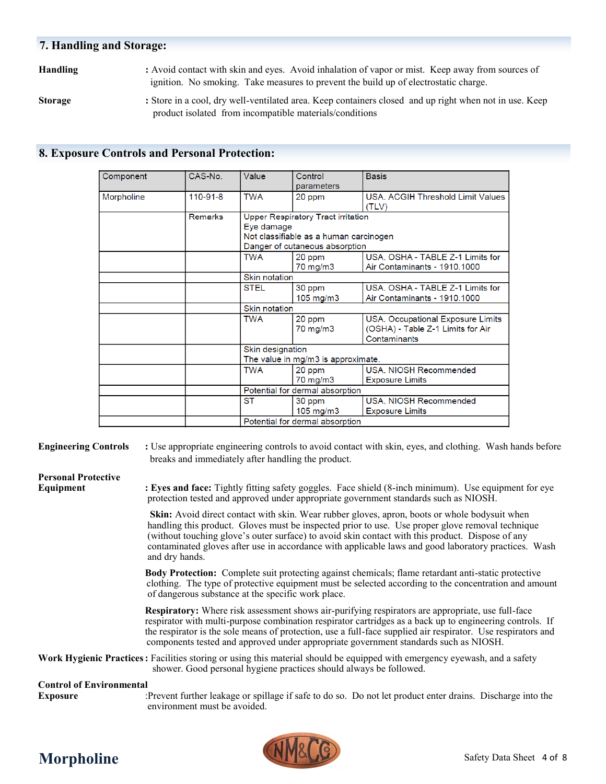## **7. Handling and Storage:**

**Handling :** Avoid contact with skin and eyes. Avoid inhalation of vapor or mist. Keep away from sources of ignition. No smoking. Take measures to prevent the build up of electrostatic charge.

**Storage :** Store in a cool, dry well-ventilated area. Keep containers closed and up right when not in use. Keep product isolated from incompatible materials/conditions

### **8. Exposure Controls and Personal Protection:**

| Component  | CAS-No.        | Value                | Control<br>parameters                                                                                                 | <b>Basis</b>                                                                           |
|------------|----------------|----------------------|-----------------------------------------------------------------------------------------------------------------------|----------------------------------------------------------------------------------------|
| Morpholine | 110-91-8       | <b>TWA</b>           | 20 ppm                                                                                                                | USA. ACGIH Threshold Limit Values<br>(TLV)                                             |
|            | <b>Remarks</b> | Eye damage           | <b>Upper Respiratory Tract irritation</b><br>Not classifiable as a human carcinogen<br>Danger of cutaneous absorption |                                                                                        |
|            |                | TWA                  | 20 ppm<br>$70 \text{ mg/m}$ 3                                                                                         | USA, OSHA - TABLE Z-1 Limits for<br>Air Contaminants - 1910.1000                       |
|            |                | <b>Skin notation</b> |                                                                                                                       |                                                                                        |
|            |                | <b>STEL</b>          | 30 ppm<br>$105$ mg/m $3$                                                                                              | USA, OSHA - TABLE Z-1 Limits for<br>Air Contaminants - 1910.1000                       |
|            |                | <b>Skin notation</b> |                                                                                                                       |                                                                                        |
|            |                | <b>TWA</b>           | 20 ppm<br>$70$ mg/m $3$                                                                                               | USA. Occupational Exposure Limits<br>(OSHA) - Table Z-1 Limits for Air<br>Contaminants |
|            |                | Skin designation     |                                                                                                                       |                                                                                        |
|            |                |                      | The value in mg/m3 is approximate.                                                                                    |                                                                                        |
|            |                | <b>TWA</b>           | 20 ppm<br>$70 \text{ mg/m}$                                                                                           | USA, NIOSH Recommended<br><b>Exposure Limits</b>                                       |
|            |                |                      | Potential for dermal absorption                                                                                       |                                                                                        |
|            |                | ST                   | 30 ppm<br>$105 \text{ mg/m}$                                                                                          | USA, NIOSH Recommended<br><b>Exposure Limits</b>                                       |
|            |                |                      | Potential for dermal absorption                                                                                       |                                                                                        |

**Engineering Controls :** Use appropriate engineering controls to avoid contact with skin, eyes, and clothing. Wash hands before breaks and immediately after handling the product.

# **Personal Protective**

**Equipment : Eyes and face:** Tightly fitting safety goggles. Face shield (8-inch minimum). Use equipment for eye protection tested and approved under appropriate government standards such as NIOSH.

> **Skin:** Avoid direct contact with skin. Wear rubber gloves, apron, boots or whole bodysuit when handling this product. Gloves must be inspected prior to use. Use proper glove removal technique (without touching glove's outer surface) to avoid skin contact with this product. Dispose of any contaminated gloves after use in accordance with applicable laws and good laboratory practices. Wash and dry hands.

> **Body Protection:** Complete suit protecting against chemicals; flame retardant anti-static protective clothing. The type of protective equipment must be selected according to the concentration and amount of dangerous substance at the specific work place.

> **Respiratory:** Where risk assessment shows air-purifying respirators are appropriate, use full-face respirator with multi-purpose combination respirator cartridges as a back up to engineering controls. If the respirator is the sole means of protection, use a full-face supplied air respirator. Use respirators and components tested and approved under appropriate government standards such as NIOSH.

**Work Hygienic Practices:** Facilities storing or using this material should be equipped with emergency eyewash, and a safety shower. Good personal hygiene practices should always be followed.

#### **Control of Environmental**

**Exposure** :Prevent further leakage or spillage if safe to do so. Do not let product enter drains. Discharge into the environment must be avoided.



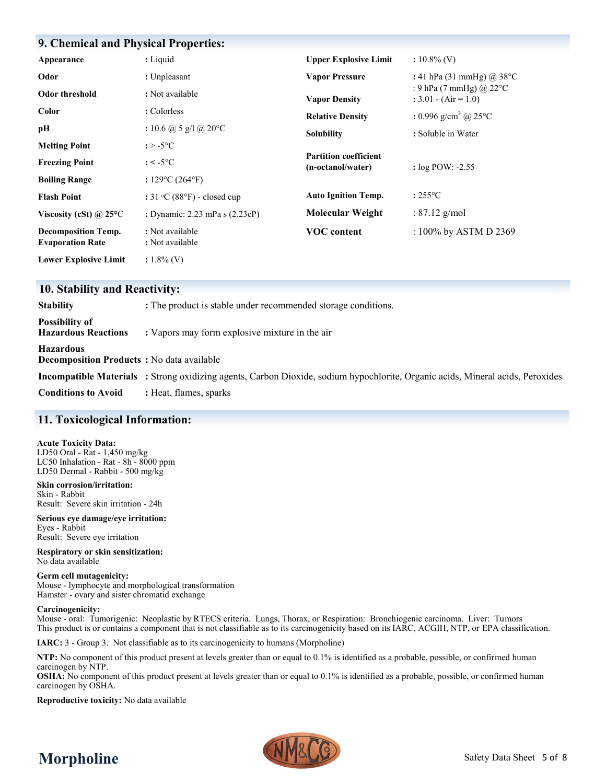| 9. Chemical and Physical Properties:                  |                                                   |                                                   |                                                             |
|-------------------------------------------------------|---------------------------------------------------|---------------------------------------------------|-------------------------------------------------------------|
| Appearance                                            | : Liquid                                          | <b>Upper Explosive Limit</b>                      | $: 10.8\%$ (V)                                              |
| Odor                                                  | : Unpleasant                                      | <b>Vapor Pressure</b>                             | : 41 hPa (31 mmHg) @ $38^{\circ}$ C                         |
| Odor threshold                                        | : Not available                                   | <b>Vapor Density</b>                              | : 9 hPa (7 mmHg) @ 22 $\degree$ C<br>: $3.01 - (Air = 1.0)$ |
| <b>Color</b>                                          | : Colorless                                       | <b>Relative Density</b>                           | : 0.996 g/cm <sup>3</sup> @ 25 $^{\circ}$ C                 |
| pН                                                    | : 10.6 @ 5 g/l @ 20 °C                            | <b>Solubility</b>                                 | : Soluble in Water                                          |
| <b>Melting Point</b>                                  | $: > -5$ °C                                       |                                                   |                                                             |
| <b>Freezing Point</b>                                 | $: < -5$ °C                                       | <b>Partition coefficient</b><br>(n-octanol/water) | : $log POW: -2.55$                                          |
| <b>Boiling Range</b>                                  | : $129^{\circ}C(264^{\circ}F)$                    |                                                   |                                                             |
| <b>Flash Point</b>                                    | : $31 \text{ °C}$ (88 $\text{ °F}$ ) - closed cup | <b>Auto Ignition Temp.</b>                        | $:255^{\circ}C$                                             |
| Viscosity (cSt) @ $25^{\circ}$ C                      | : Dynamic: 2.23 mPa s (2.23cP)                    | Molecular Weight                                  | : $87.12$ g/mol                                             |
| <b>Decomposition Temp.</b><br><b>Evaporation Rate</b> | : Not available<br>: Not available                | <b>VOC</b> content                                | : 100% by ASTM D 2369                                       |
| <b>Lower Explosive Limit</b>                          | $: 1.8\%$ (V)                                     |                                                   |                                                             |

## **10. Stability and Reactivity:**

| <b>Stability</b>                                                     | : The product is stable under recommended storage conditions.                                                                  |
|----------------------------------------------------------------------|--------------------------------------------------------------------------------------------------------------------------------|
| <b>Possibility of</b><br><b>Hazardous Reactions</b>                  | : Vapors may form explosive mixture in the air                                                                                 |
| <b>Hazardous</b><br><b>Decomposition Products:</b> No data available |                                                                                                                                |
|                                                                      | Incompatible Materials : Strong oxidizing agents, Carbon Dioxide, sodium hypochlorite, Organic acids, Mineral acids, Peroxides |
| <b>Conditions to Avoid</b>                                           | : Heat, flames, sparks                                                                                                         |

### **11. Toxicological Information:**

#### **Acute Toxicity Data:**

LD50 Oral - Rat - 1,450 mg/kg LC50 Inhalation - Rat - 8h - 8000 ppm LD50 Dermal - Rabbit - 500 mg/kg

**Skin corrosion/irritation:** Skin - Rabbit Result: Severe skin irritation - 24h

**Serious eye damage/eye irritation:** Eyes - Rabbit

Result: Severe eye irritation **Respiratory or skin sensitization:**

No data available

**Germ cell mutagenicity:** Mouse - lymphocyte and morphological transformation Hamster - ovary and sister chromatid exchange

#### **Carcinogenicity:**

Mouse - oral: Tumorigenic: Neoplastic by RTECS criteria. Lungs, Thorax, or Respiration: Bronchiogenic carcinoma. Liver: Tumors This product is or contains a component that is not classifiable as to its carcinogenicity based on its IARC, ACGIH, NTP, or EPA classification.

**IARC:** 3 - Group 3. Not classifiable as to its carcinogenicity to humans (Morpholine)

**NTP:** No component of this product present at levels greater than or equal to 0.1% is identified as a probable, possible, or confirmed human carcinogen by NTP.

**OSHA:** No component of this product present at levels greater than or equal to 0.1% is identified as a probable, possible, or confirmed human carcinogen by OSHA.

**Reproductive toxicity:** No data available

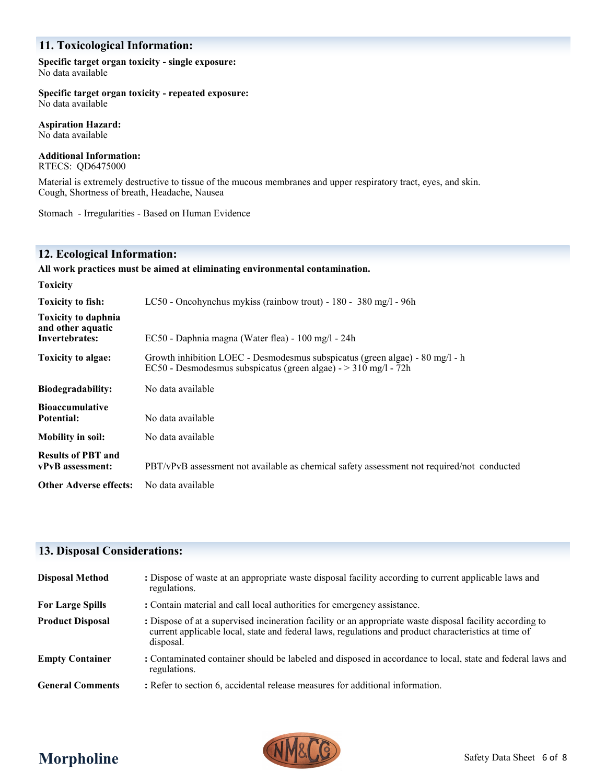## **11. Toxicological Information:**

#### **Specific target organ toxicity - single exposure:** No data available

**Specific target organ toxicity - repeated exposure:** No data available

**Aspiration Hazard:** No data available

**Additional Information:**

RTECS: QD6475000

Material is extremely destructive to tissue of the mucous membranes and upper respiratory tract, eyes, and skin. Cough, Shortness of breath, Headache, Nausea

Stomach - Irregularities - Based on Human Evidence

### **12. Ecological Information:**

#### **All work practices must be aimed at eliminating environmental contamination.**

| <b>Toxicity</b>                                                   |                                                                                                                                                             |
|-------------------------------------------------------------------|-------------------------------------------------------------------------------------------------------------------------------------------------------------|
| <b>Toxicity to fish:</b>                                          | LC50 - Oncohynchus mykiss (rainbow trout) - 180 - 380 mg/l - 96h                                                                                            |
| <b>Toxicity to daphnia</b><br>and other aquatic<br>Invertebrates: | EC50 - Daphnia magna (Water flea) - 100 mg/l - 24h                                                                                                          |
| Toxicity to algae:                                                | Growth inhibition LOEC - Desmodesmus subspicatus (green algae) - $80 \text{ mg/l}$ - h<br>EC50 - Desmodesmus subspicatus (green algae) - $>$ 310 mg/l - 72h |
| Biodegradability:                                                 | No data available                                                                                                                                           |
| <b>Bioaccumulative</b><br>Potential:                              | No data available                                                                                                                                           |
| <b>Mobility in soil:</b>                                          | No data available                                                                                                                                           |
| <b>Results of PBT and</b><br>vPvB assessment:                     | PBT/vPvB assessment not available as chemical safety assessment not required/not conducted                                                                  |
| <b>Other Adverse effects:</b>                                     | No data available                                                                                                                                           |
|                                                                   |                                                                                                                                                             |

## **13. Disposal Considerations:**

| <b>Disposal Method</b>  | : Dispose of waste at an appropriate waste disposal facility according to current applicable laws and<br>regulations.                                                                                                          |
|-------------------------|--------------------------------------------------------------------------------------------------------------------------------------------------------------------------------------------------------------------------------|
| <b>For Large Spills</b> | : Contain material and call local authorities for emergency assistance.                                                                                                                                                        |
| <b>Product Disposal</b> | : Dispose of at a supervised incineration facility or an appropriate waste disposal facility according to<br>current applicable local, state and federal laws, regulations and product characteristics at time of<br>disposal. |
| <b>Empty Container</b>  | : Contaminated container should be labeled and disposed in accordance to local, state and federal laws and<br>regulations.                                                                                                     |
| <b>General Comments</b> | : Refer to section 6, accidental release measures for additional information.                                                                                                                                                  |



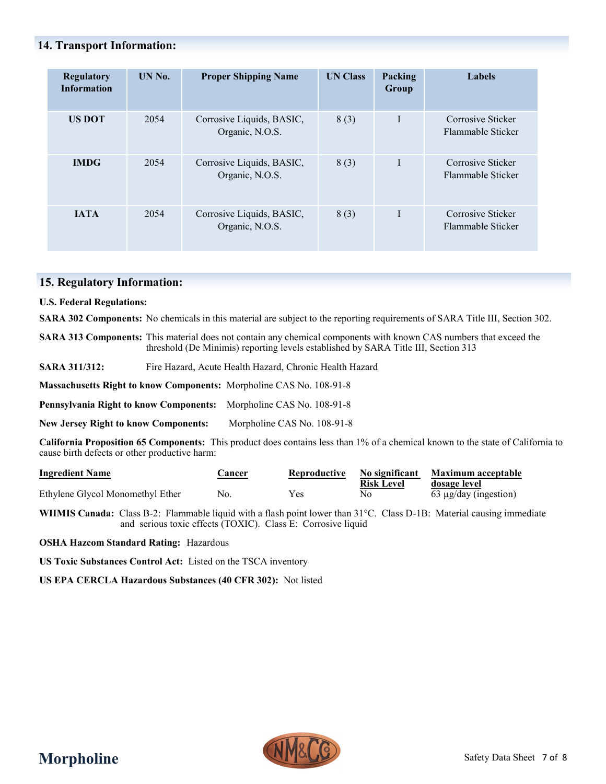## **14. Transport Information:**

| <b>Regulatory</b><br><b>Information</b> | UN No. | <b>Proper Shipping Name</b>                  | <b>UN Class</b> | Packing<br>Group | Labels                                 |
|-----------------------------------------|--------|----------------------------------------------|-----------------|------------------|----------------------------------------|
| <b>US DOT</b>                           | 2054   | Corrosive Liquids, BASIC,<br>Organic, N.O.S. | 8(3)            | I                | Corrosive Sticker<br>Flammable Sticker |
| <b>IMDG</b>                             | 2054   | Corrosive Liquids, BASIC,<br>Organic, N.O.S. | 8(3)            | I                | Corrosive Sticker<br>Flammable Sticker |
| <b>JATA</b>                             | 2054   | Corrosive Liquids, BASIC,<br>Organic, N.O.S. | 8(3)            | I                | Corrosive Sticker<br>Flammable Sticker |

## **15. Regulatory Information:**

#### **U.S. Federal Regulations:**

**SARA 302 Components:** No chemicals in this material are subject to the reporting requirements of SARA Title III, Section 302.

**SARA 313 Components:** This material does not contain any chemical components with known CAS numbers that exceed the threshold (De Minimis) reporting levels established by SARA Title III, Section 313

**SARA 311/312:** Fire Hazard, Acute Health Hazard, Chronic Health Hazard

**Massachusetts Right to know Components:** Morpholine CAS No. 108-91-8

**Pennsylvania Right to know Components:** Morpholine CAS No. 108-91-8

New Jersey Right to know Components: Morpholine CAS No. 108-91-8

**California Proposition 65 Components:** This product does contains less than 1% of a chemical known to the state of California to cause birth defects or other productive harm:

| <b>Ingredient Name</b>           | Cancer | Reproductive |                   | No significant Maximum acceptable |
|----------------------------------|--------|--------------|-------------------|-----------------------------------|
|                                  |        |              | <b>Risk Level</b> | dosage level                      |
| Ethylene Glycol Monomethyl Ether | No.    | <b>Yes</b>   | No.               | $63 \mu g/day$ (ingestion)        |

**WHMIS Canada:** Class B-2: Flammable liquid with a flash point lower than 31°C. Class D-1B: Material causing immediate and serious toxic effects (TOXIC). Class E: Corrosive liquid

#### **OSHA Hazcom Standard Rating:** Hazardous

**US Toxic Substances Control Act:** Listed on the TSCA inventory

**US EPA CERCLA Hazardous Substances (40 CFR 302):** Not listed